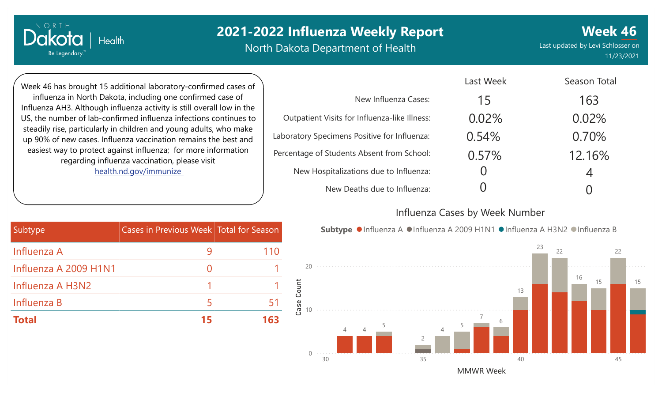North Dakota Department of Health

**Week 46** Last updated by Levi Schlosser on 11/23/2021

Week 46 has brought 15 additional laboratory-confirmed cases of influenza in North Dakota, including one confirmed case of Influenza AH3. Although influenza activity is still overall low in the US, the number of lab-confirmed influenza infections continues to steadily rise, particularly in children and young adults, who make up 90% of new cases. Influenza vaccination remains the best and easiest way to protect against influenza; for more information regarding influenza vaccination, please visit [health.nd.gov/immunize](http://health.nd.gov/immunize)

**Health** 

NORTH

Dakota

Be Legendary.

|                                               | Last Week | Season Total |
|-----------------------------------------------|-----------|--------------|
| New Influenza Cases:                          | 15        | 163          |
| Outpatient Visits for Influenza-like Illness: | 0.02%     | 0.02%        |
| Laboratory Specimens Positive for Influenza:  | 0.54%     | 0.70%        |
| Percentage of Students Absent from School:    | 0.57%     | 12.16%       |
| New Hospitalizations due to Influenza:        |           | 4            |
| New Deaths due to Influenza:                  |           |              |

#### Influenza Cases by Week Number

| Subtype               | Cases in Previous Week Total for Season |     |
|-----------------------|-----------------------------------------|-----|
| Influenza A           |                                         | 110 |
| Influenza A 2009 H1N1 |                                         |     |
| Influenza A H3N2      |                                         |     |
| Influenza B           | 5                                       | 51  |
| Total                 | 15                                      | 163 |

**Subtype** ●Influenza A ●Influenza A 2009 H1N1 ●Influenza A H3N2 ●Influenza B

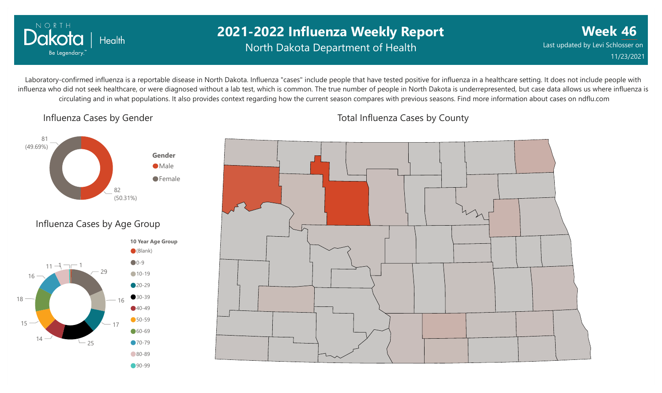

### **2021-2022 Influenza Weekly Report** North Dakota Department of Health

**Week 46** Last updated by Levi Schlosser on 11/23/2021

Laboratory-confirmed influenza is a reportable disease in North Dakota. Influenza "cases" include people that have tested positive for influenza in a healthcare setting. It does not include people with influenza who did not seek healthcare, or were diagnosed without a lab test, which is common. The true number of people in North Dakota is underrepresented, but case data allows us where influenza is circulating and in what populations. It also provides context regarding how the current season compares with previous seasons. Find more information about cases on ndflu.com

#### Influenza Cases by Gender



#### Influenza Cases by Age Group





Total Influenza Cases by County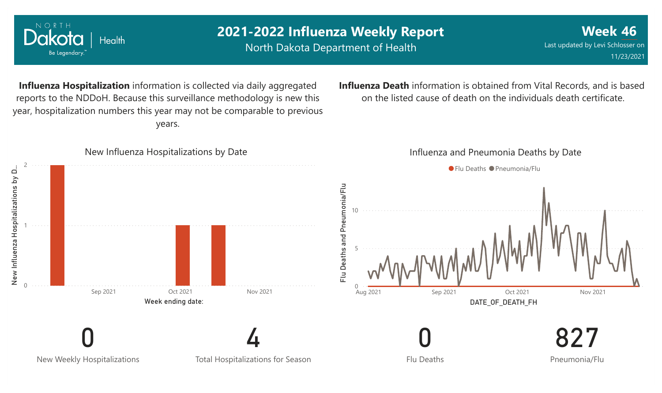

NORTH

Dakota

Be Legendary.

Health

North Dakota Department of Health

**Week 46** Last updated by Levi Schlosser on 11/23/2021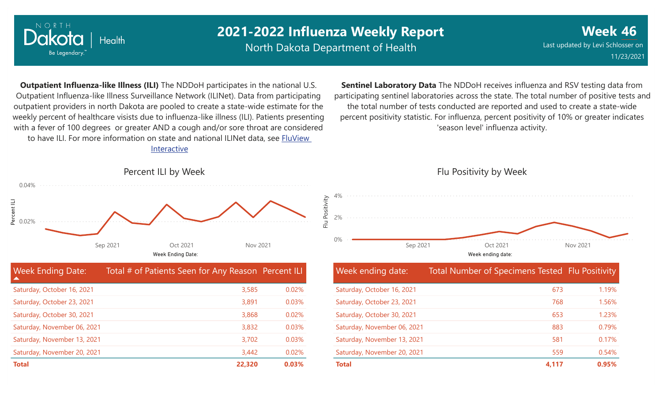

North Dakota Department of Health

Flu Positivity

**Week 46** Last updated by Levi Schlosser on 11/23/2021

**Outpatient Influenza-like Illness (ILI)** The NDDoH participates in the national U.S. Outpatient Influenza-like Illness Surveillance Network (ILINet). Data from participating outpatient providers in north Dakota are pooled to create a state-wide estimate for the weekly percent of healthcare visists due to influenza-like illness (ILI). Patients presenting with a fever of 100 degrees or greater AND a cough and/or sore throat are considered to have ILI. For more information [on state and national ILINet data, see FluView](http://fluview%20interactive/) Interactive

**Sentinel Laboratory Data** The NDDoH receives influenza and RSV testing data from participating sentinel laboratories across the state. The total number of positive tests and the total number of tests conducted are reported and used to create a state-wide percent positivity statistic. For influenza, percent positivity of 10% or greater indicates 'season level' influenza activity.





Flu Positivity by Week

| <b>Week Ending Date:</b><br>▲ | Total # of Patients Seen for Any Reason Percent ILI |       |
|-------------------------------|-----------------------------------------------------|-------|
| Saturday, October 16, 2021    | 3,585                                               | 0.02% |
| Saturday, October 23, 2021    | 3,891                                               | 0.03% |
| Saturday, October 30, 2021    | 3,868                                               | 0.02% |
| Saturday, November 06, 2021   | 3,832                                               | 0.03% |
| Saturday, November 13, 2021   | 3,702                                               | 0.03% |
| Saturday, November 20, 2021   | 3,442                                               | 0.02% |
| <b>Total</b>                  | 22,320                                              | 0.03% |

| Week ending date:           | Total Number of Specimens Tested Flu Positivity |       |
|-----------------------------|-------------------------------------------------|-------|
| Saturday, October 16, 2021  | 673                                             | 1.19% |
| Saturday, October 23, 2021  | 768                                             | 1.56% |
| Saturday, October 30, 2021  | 653                                             | 1.23% |
| Saturday, November 06, 2021 | 883                                             | 0.79% |
| Saturday, November 13, 2021 | 581                                             | 0.17% |
| Saturday, November 20, 2021 | 559                                             | 0.54% |
| <b>Total</b>                | 4,117                                           | 0.95% |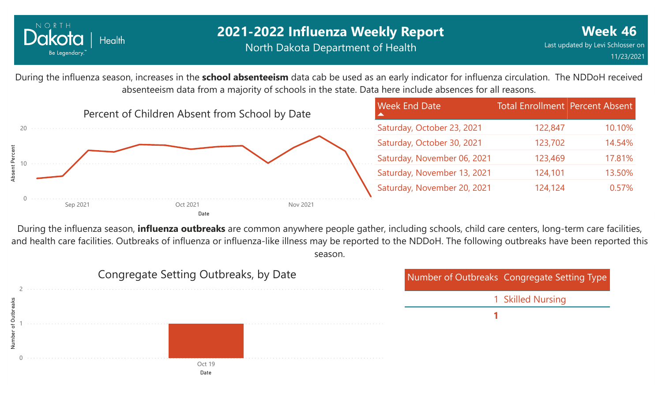

### **2021-2022 Influenza Weekly Report** North Dakota Department of Health

During the influenza season, increases in the **school absenteeism** data cab be used as an early indicator for influenza circulation. The NDDoH received absenteeism data from a majority of schools in the state. Data here include absences for all reasons.



During the influenza season, **influenza outbreaks** are common anywhere people gather, including schools, child care centers, long-term care facilities, and health care facilities. Outbreaks of influenza or influenza-like illness may be reported to the NDDoH. The following outbreaks have been reported this season.

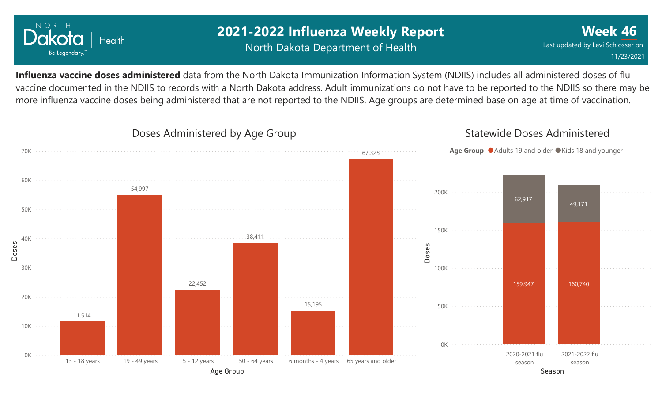

### **2021-2022 Influenza Weekly Report** North Dakota Department of Health

**Week 46** Last updated by Levi Schlosser on 11/23/2021

**Influenza vaccine doses administered** data from the North Dakota Immunization Information System (NDIIS) includes all administered doses of flu vaccine documented in the NDIIS to records with a North Dakota address. Adult immunizations do not have to be reported to the NDIIS so there may be more influenza vaccine doses being administered that are not reported to the NDIIS. Age groups are determined base on age at time of vaccination.

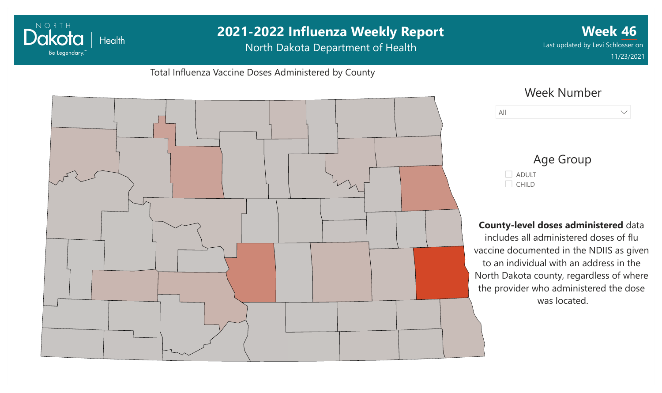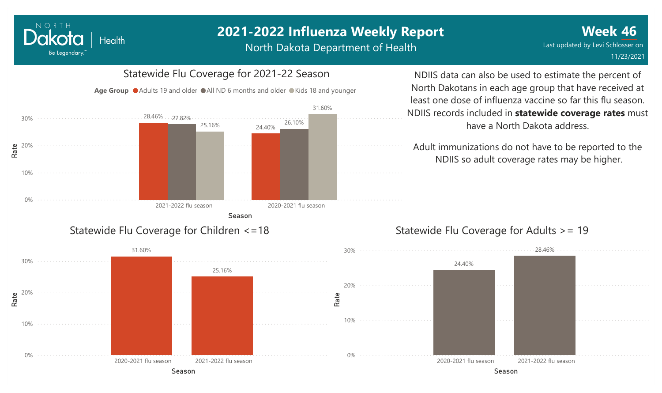North Dakota Department of Health



NORTH

Dakota

Be Legendary.

Health

#### NDIIS data can also be used to estimate the percent of North Dakotans in each age group that have received at least one dose of influenza vaccine so far this flu season. NDIIS records included in **statewide coverage rates** must have a North Dakota address.

Adult immunizations do not have to be reported to the NDIIS so adult coverage rates may be higher.



#### Statewide Flu Coverage for Adults >= 19